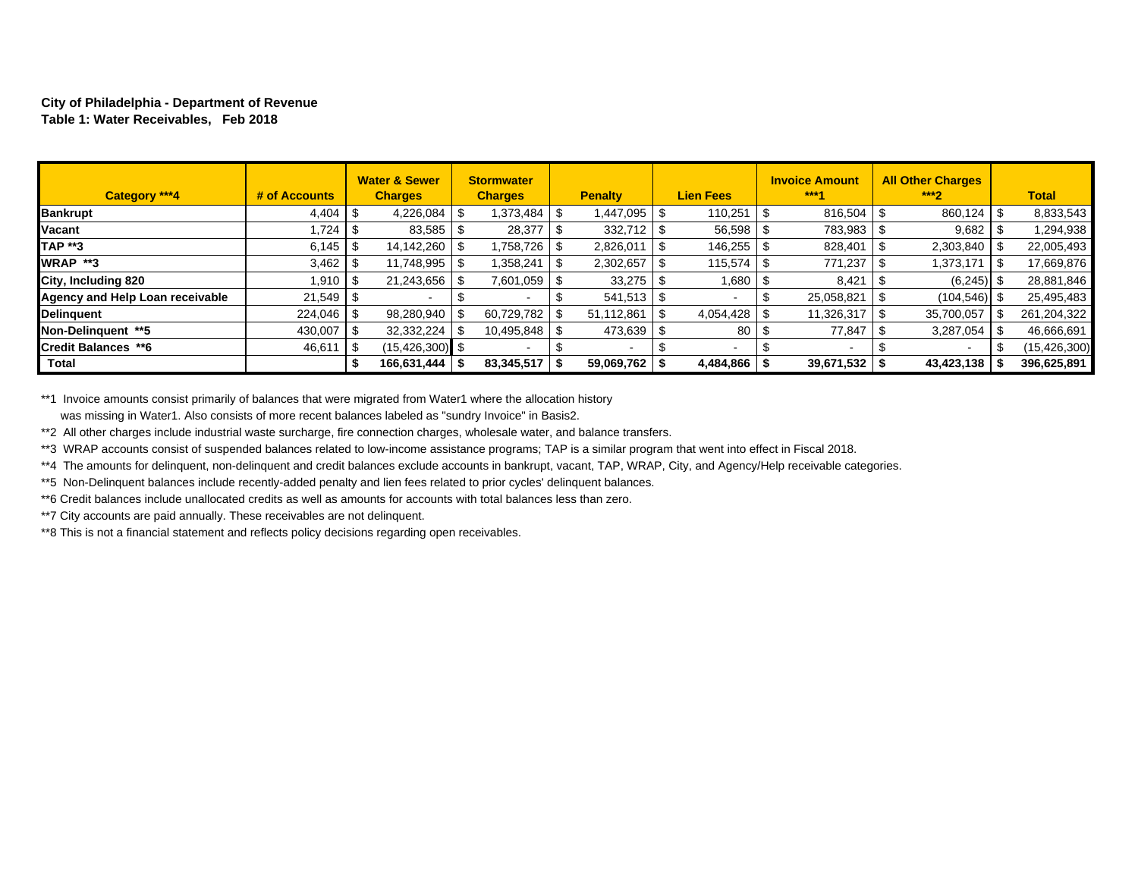#### **City of Philadelphia - Department of Revenue Table 1: Water Receivables, Feb 2018**

| Category ***4                   | # of Accounts |     | <b>Water &amp; Sewer</b><br><b>Charges</b> | <b>Stormwater</b><br><b>Charges</b> |      | <b>Penalty</b>  | <b>Lien Fees</b> | <b>Invoice Amount</b><br>***4 | <b>All Other Charges</b><br>$***2$ | <b>Total</b>   |
|---------------------------------|---------------|-----|--------------------------------------------|-------------------------------------|------|-----------------|------------------|-------------------------------|------------------------------------|----------------|
| <b>Bankrupt</b>                 | 4,404         | l S | 4,226,084                                  | 1,373,484                           | - 5  | 1,447,095       | 110,251          | 816,504                       | 860,124                            | 8,833,543      |
| Vacant                          | 724،          | الا | 83,585                                     | 28,377                              |      | $332,712$ \\$   | $56,598$ \$      | 783,983                       | 9,682                              | 1,294,938      |
| <b>TAP **3</b>                  |               |     | 14,142,260                                 | ,758,726                            | ъ.   | 2,826,011       | 146,255 \$       | 828,401                       | 2,303,840                          | 22,005,493     |
| WRAP **3                        | $3,462$   \$  |     | 11,748,995                                 | ,358,241                            |      | 2,302,657       | 115,574          | 771,237                       | ,373,171                           | 17,669,876     |
| City, Including 820             | 1.910   \$    |     | 21,243,656                                 | 7,601,059                           | - 35 | 33,275          | 1,680            | 8,421                         | $(6,245)$ \$                       | 28,881,846     |
| Agency and Help Loan receivable | $21,549$ \$   |     |                                            |                                     |      | $541,513$ \\$   |                  | 25,058,821                    | $(104, 546)$ \$                    | 25,495,483     |
| Delinquent                      |               |     | 98,280,940                                 | 60,729,782                          |      | 51,112,861      | 4,054,428        | 11,326,317                    | 35,700,057                         | 261, 204, 322  |
| Non-Delinguent **5              | 430,007       | l S | 32,332,224                                 | 10,495,848                          | \$.  | 473,639         | 80               | 77,847                        | 3,287,054                          | 46,666,691     |
| <b>Credit Balances **6</b>      | 46,611        |     | $(15, 426, 300)$ \$                        |                                     |      |                 | $\sim$           | $\overline{\phantom{a}}$      |                                    | (15, 426, 300) |
| <b>Total</b>                    |               |     | 166,631,444                                | 83,345,517                          |      | $59,069,762$ \$ | $4,484,866$ \ \$ | $39,671,532$ \$               | 43,423,138                         | 396,625,891    |

\*\*1 Invoice amounts consist primarily of balances that were migrated from Water1 where the allocation history was missing in Water1. Also consists of more recent balances labeled as "sundry Invoice" in Basis2.

\*\*2 All other charges include industrial waste surcharge, fire connection charges, wholesale water, and balance transfers.

\*\*3 WRAP accounts consist of suspended balances related to low-income assistance programs; TAP is a similar program that went into effect in Fiscal 2018.

\*\*4 The amounts for delinquent, non-delinquent and credit balances exclude accounts in bankrupt, vacant, TAP, WRAP, City, and Agency/Help receivable categories.

\*\*5 Non-Delinquent balances include recently-added penalty and lien fees related to prior cycles' delinquent balances.

\*\*6 Credit balances include unallocated credits as well as amounts for accounts with total balances less than zero.

\*\*7 City accounts are paid annually. These receivables are not delinquent.

\*\*8 This is not a financial statement and reflects policy decisions regarding open receivables.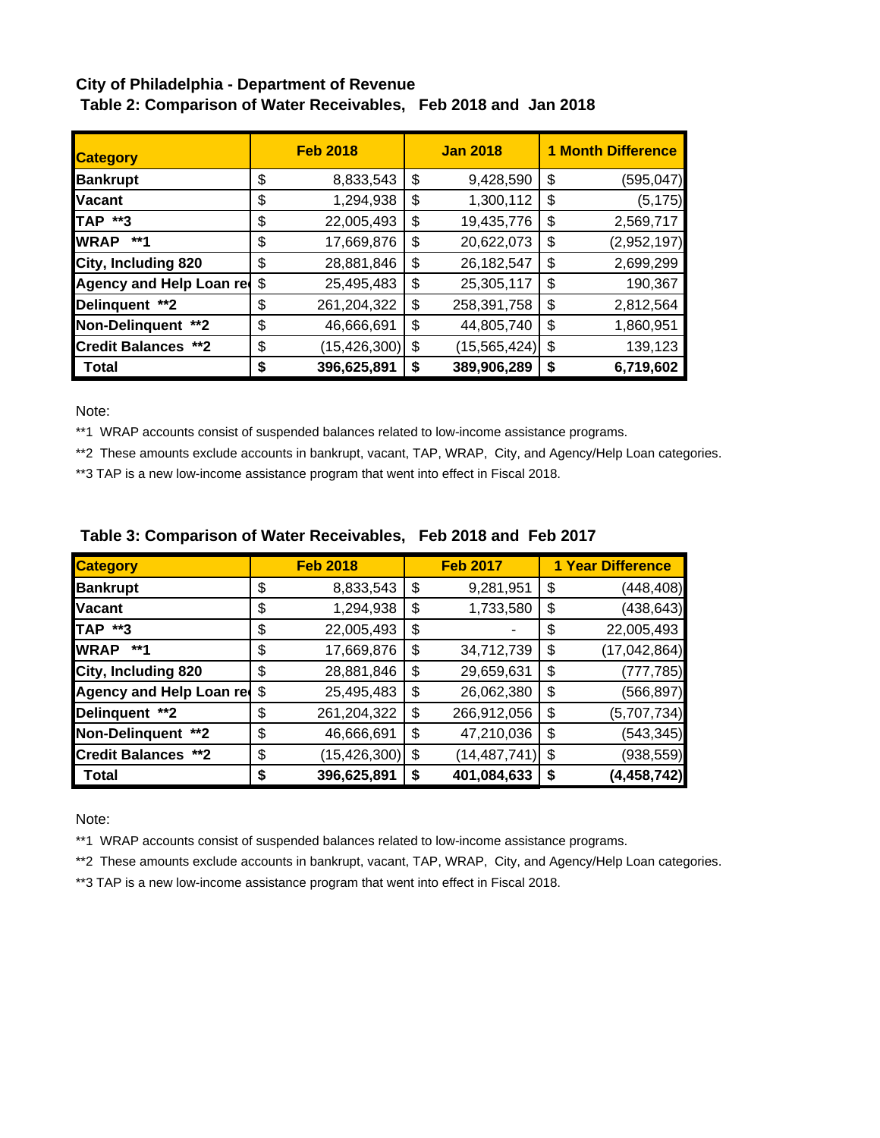# **City of Philadelphia - Department of Revenue Table 2: Comparison of Water Receivables, Feb 2018 and Jan 2018**

| <b>Category</b>            |    | <b>Feb 2018</b> | <b>Jan 2018</b> |                |    | <b>1 Month Difference</b> |  |  |
|----------------------------|----|-----------------|-----------------|----------------|----|---------------------------|--|--|
| <b>Bankrupt</b>            | \$ | 8,833,543       | \$              | 9,428,590      | \$ | (595, 047)                |  |  |
| <b>Vacant</b>              | \$ | 1,294,938       | \$              | 1,300,112      | \$ | (5, 175)                  |  |  |
| TAP **3                    | \$ | 22,005,493      | \$              | 19,435,776     | \$ | 2,569,717                 |  |  |
| <b>WRAP</b><br>**1         | \$ | 17,669,876      | \$              | 20,622,073     | \$ | (2,952,197)               |  |  |
| City, Including 820        | \$ | 28,881,846      | \$              | 26, 182, 547   | \$ | 2,699,299                 |  |  |
| Agency and Help Loan red   | \$ | 25,495,483      | \$              | 25,305,117     | \$ | 190,367                   |  |  |
| Delinquent **2             | \$ | 261,204,322     | \$              | 258,391,758    | \$ | 2,812,564                 |  |  |
| Non-Delinquent **2         | \$ | 46,666,691      | \$              | 44,805,740     | \$ | 1,860,951                 |  |  |
| <b>Credit Balances **2</b> | \$ | (15, 426, 300)  | \$              | (15, 565, 424) | \$ | 139,123                   |  |  |
| Total                      | S  | 396,625,891     | S               | 389,906,289    | \$ | 6,719,602                 |  |  |

Note:

\*\*1 WRAP accounts consist of suspended balances related to low-income assistance programs.

\*\*2 These amounts exclude accounts in bankrupt, vacant, TAP, WRAP, City, and Agency/Help Loan categories.

\*\*3 TAP is a new low-income assistance program that went into effect in Fiscal 2018.

| <b>Category</b>             |    | <b>Feb 2018</b> | <b>Feb 2017</b>      | <b>1 Year Difference</b> |                |  |
|-----------------------------|----|-----------------|----------------------|--------------------------|----------------|--|
| <b>Bankrupt</b>             | \$ | 8,833,543       | \$<br>9,281,951      | \$                       | (448, 408)     |  |
| <b>Vacant</b>               | \$ | 1,294,938       | \$<br>1,733,580      | \$                       | (438, 643)     |  |
| <b>TAP **3</b>              | \$ | 22,005,493      | \$                   | \$                       | 22,005,493     |  |
| <b>WRAP</b><br>**1          | \$ | 17,669,876      | \$<br>34,712,739     | \$                       | (17, 042, 864) |  |
| City, Including 820         | \$ | 28,881,846      | \$<br>29,659,631     | \$                       | (777, 785)     |  |
| Agency and Help Loan red \$ |    | 25,495,483      | \$<br>26,062,380     | \$                       | (566, 897)     |  |
| Delinquent **2              | \$ | 261,204,322     | \$<br>266,912,056    | \$                       | (5,707,734)    |  |
| Non-Delinquent **2          | \$ | 46,666,691      | \$<br>47,210,036     | \$                       | (543, 345)     |  |
| <b>Credit Balances **2</b>  | \$ | (15, 426, 300)  | \$<br>(14, 487, 741) | \$                       | (938, 559)     |  |
| <b>Total</b>                | S  | 396,625,891     | \$<br>401,084,633    | \$                       | (4, 458, 742)  |  |

## **Table 3: Comparison of Water Receivables, Feb 2018 and Feb 2017**

Note:

\*\*1 WRAP accounts consist of suspended balances related to low-income assistance programs.

\*\*2 These amounts exclude accounts in bankrupt, vacant, TAP, WRAP, City, and Agency/Help Loan categories.

\*\*3 TAP is a new low-income assistance program that went into effect in Fiscal 2018.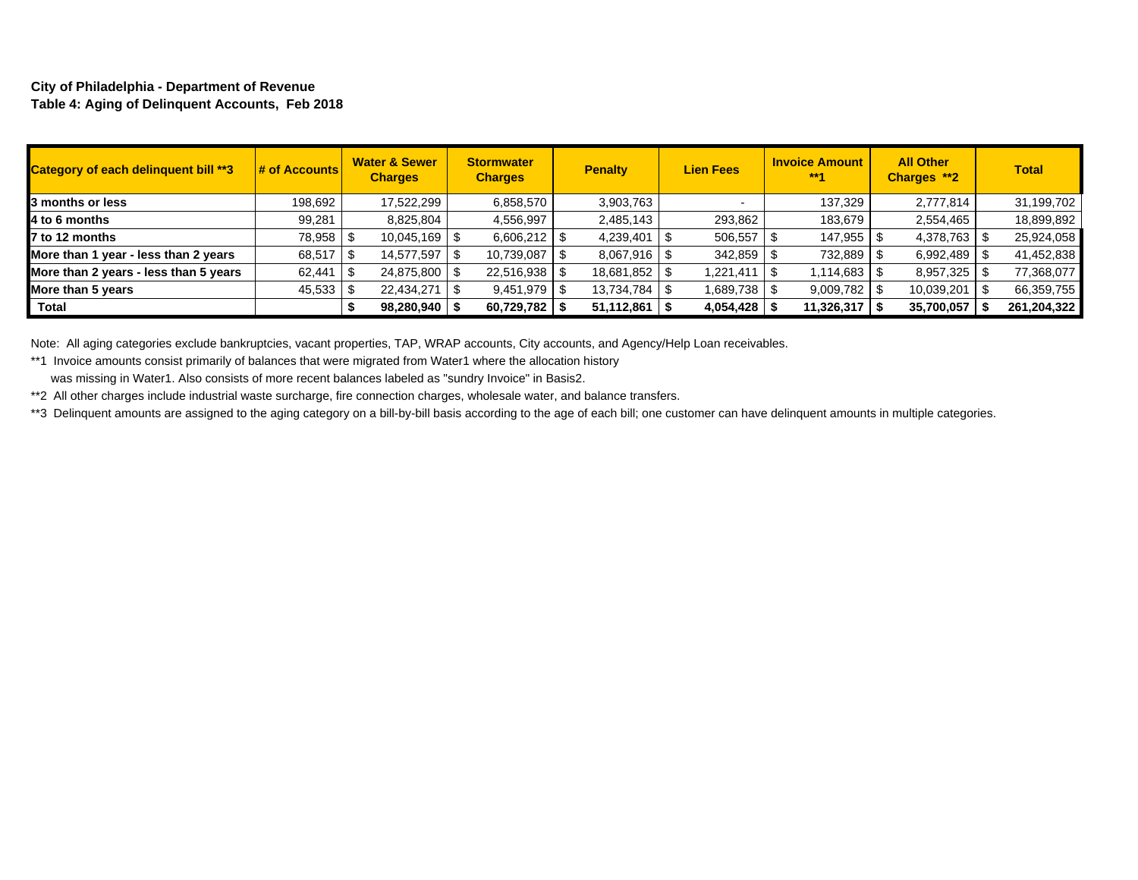#### **City of Philadelphia - Department of Revenue Table 4: Aging of Delinquent Accounts, Feb 2018**

| Category of each delinquent bill **3  | $\frac{1}{2}$ of Accounts | <b>Water &amp; Sewer</b><br><b>Charges</b> | <b>Stormwater</b><br><b>Charges</b> | <b>Penalty</b>  | <b>Lien Fees</b> | <b>Invoice Amount</b><br>$***4$ | <b>All Other</b><br>Charges **2 | <b>Total</b> |
|---------------------------------------|---------------------------|--------------------------------------------|-------------------------------------|-----------------|------------------|---------------------------------|---------------------------------|--------------|
| 3 months or less                      | 198,692                   | 17,522,299                                 | 6,858,570                           | 3,903,763       |                  | 137,329                         | 2,777,814                       | 31,199,702   |
| 4 to 6 months                         | 99,281                    | 8,825,804                                  | 4,556,997                           | 2,485,143       | 293,862          | 183,679                         | 2,554,465                       | 18,899,892   |
| 7 to 12 months                        | 78,958   \$               | $10,045,169$ \$                            | 6,606,212                           | 4,239,401       | 506,557          | 147,955                         | 4,378,763                       | 25,924,058   |
| More than 1 year - less than 2 years  | 68,517                    | 14,577,597                                 | 10,739,087                          | $8,067,916$ \$  | 342,859          | 732,889                         | 6,992,489                       | 41,452,838   |
| More than 2 years - less than 5 years | 62,441                    | 24,875,800 \$                              | 22,516,938                          | 18,681,852 \$   | 1,221,411        | 1,114,683 S                     | 8,957,325                       | 77,368,077   |
| More than 5 years                     | 45,533                    | 22,434,271                                 | 9,451,979                           | 13,734,784   \$ | 1,689,738 S      | $9,009,782$ \$                  | 10,039,201                      | 66,359,755   |
| Total                                 |                           | $98,280,940$   \                           | 60,729,782                          | 51,112,861      | 4,054,428        | 11,326,317                      | 35,700,057                      | 261,204,322  |

Note: All aging categories exclude bankruptcies, vacant properties, TAP, WRAP accounts, City accounts, and Agency/Help Loan receivables.

\*\*1 Invoice amounts consist primarily of balances that were migrated from Water1 where the allocation history

was missing in Water1. Also consists of more recent balances labeled as "sundry Invoice" in Basis2.

\*\*2 All other charges include industrial waste surcharge, fire connection charges, wholesale water, and balance transfers.

\*\*3 Delinquent amounts are assigned to the aging category on a bill-by-bill basis according to the age of each bill; one customer can have delinquent amounts in multiple categories.